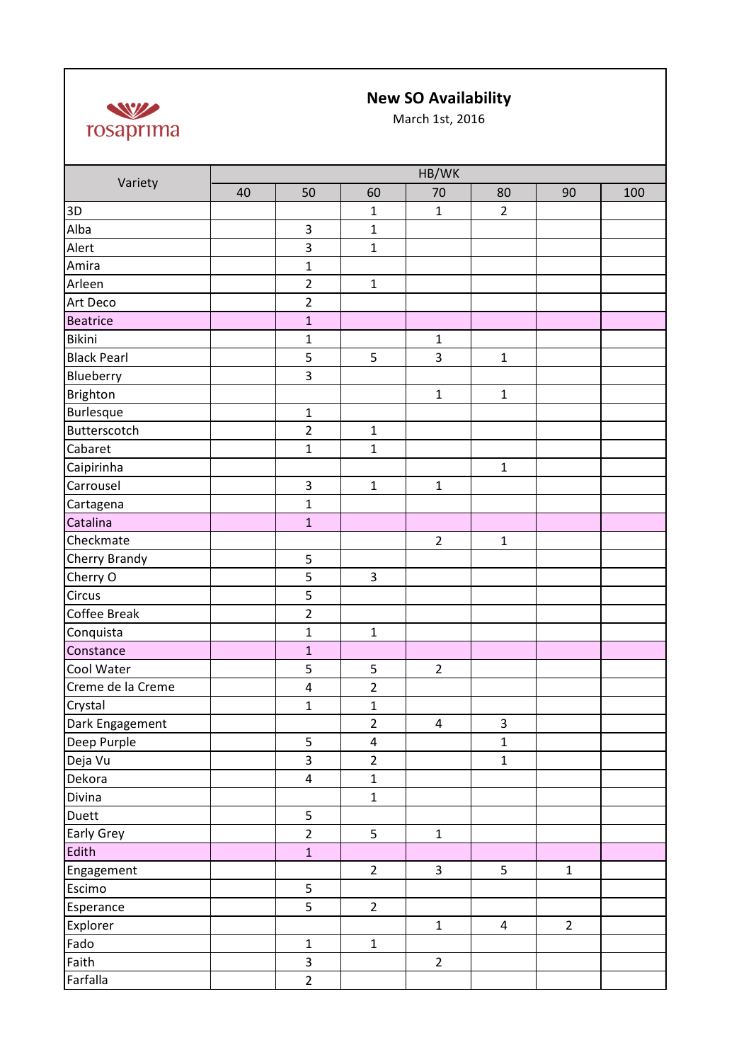

## **New SO Availability**

March 1st, 2016

| Variety            | HB/WK |                         |                         |                         |                |                |     |  |
|--------------------|-------|-------------------------|-------------------------|-------------------------|----------------|----------------|-----|--|
|                    | 40    | 50                      | 60                      | 70                      | 80             | 90             | 100 |  |
| 3D                 |       |                         | $\mathbf{1}$            | $\mathbf{1}$            | $\overline{2}$ |                |     |  |
| Alba               |       | 3                       | $\mathbf 1$             |                         |                |                |     |  |
| Alert              |       | 3                       | $\mathbf 1$             |                         |                |                |     |  |
| Amira              |       | $\mathbf{1}$            |                         |                         |                |                |     |  |
| Arleen             |       | $\overline{2}$          | $\mathbf{1}$            |                         |                |                |     |  |
| Art Deco           |       | $\overline{2}$          |                         |                         |                |                |     |  |
| <b>Beatrice</b>    |       | $\mathbf 1$             |                         |                         |                |                |     |  |
| Bikini             |       | $\mathbf{1}$            |                         | $\mathbf 1$             |                |                |     |  |
| <b>Black Pearl</b> |       | 5                       | 5                       | $\overline{\mathbf{3}}$ | $\mathbf{1}$   |                |     |  |
| Blueberry          |       | 3                       |                         |                         |                |                |     |  |
| Brighton           |       |                         |                         | $\mathbf{1}$            | $\mathbf{1}$   |                |     |  |
| Burlesque          |       | $\mathbf{1}$            |                         |                         |                |                |     |  |
| Butterscotch       |       | $\overline{2}$          | $\mathbf{1}$            |                         |                |                |     |  |
| Cabaret            |       | $\mathbf{1}$            | $\mathbf{1}$            |                         |                |                |     |  |
| Caipirinha         |       |                         |                         |                         | $\mathbf 1$    |                |     |  |
| Carrousel          |       | 3                       | $\mathbf{1}$            | $\mathbf{1}$            |                |                |     |  |
| Cartagena          |       | $\mathbf{1}$            |                         |                         |                |                |     |  |
| Catalina           |       | $\mathbf{1}$            |                         |                         |                |                |     |  |
| Checkmate          |       |                         |                         | $\overline{2}$          | $\mathbf{1}$   |                |     |  |
| Cherry Brandy      |       | 5                       |                         |                         |                |                |     |  |
| Cherry O           |       | 5                       | $\overline{3}$          |                         |                |                |     |  |
| Circus             |       | 5                       |                         |                         |                |                |     |  |
| Coffee Break       |       | $\overline{2}$          |                         |                         |                |                |     |  |
| Conquista          |       | $\mathbf{1}$            | $\mathbf{1}$            |                         |                |                |     |  |
| Constance          |       | $\mathbf{1}$            |                         |                         |                |                |     |  |
| Cool Water         |       | 5                       | 5                       | $\overline{2}$          |                |                |     |  |
| Creme de la Creme  |       | $\pmb{4}$               | $\overline{2}$          |                         |                |                |     |  |
| Crystal            |       | $\mathbf{1}$            | $\mathbf{1}$            |                         |                |                |     |  |
| Dark Engagement    |       |                         | $\overline{2}$          | $\overline{4}$          | 3              |                |     |  |
| Deep Purple        |       | 5                       | $\overline{\mathbf{4}}$ |                         | $\mathbf{1}$   |                |     |  |
| Deja Vu            |       | $\overline{\mathbf{3}}$ | $\overline{2}$          |                         | $\mathbf{1}$   |                |     |  |
| Dekora             |       | $\overline{\mathbf{4}}$ | $\mathbf 1$             |                         |                |                |     |  |
| Divina             |       |                         | $\mathbf{1}$            |                         |                |                |     |  |
| Duett              |       | 5                       |                         |                         |                |                |     |  |
| Early Grey         |       | $\overline{2}$          | 5                       | $\mathbf 1$             |                |                |     |  |
| Edith              |       | $\mathbf{1}$            |                         |                         |                |                |     |  |
| Engagement         |       |                         | $\overline{2}$          | $\mathbf{3}$            | 5              | $\mathbf{1}$   |     |  |
| Escimo             |       | 5                       |                         |                         |                |                |     |  |
| Esperance          |       | 5                       | $\overline{2}$          |                         |                |                |     |  |
| Explorer           |       |                         |                         | $\mathbf 1$             | $\overline{4}$ | $\overline{2}$ |     |  |
| Fado               |       | $\mathbf 1$             | $\mathbf 1$             |                         |                |                |     |  |
| Faith              |       | 3                       |                         | $\overline{2}$          |                |                |     |  |
| Farfalla           |       | $\overline{2}$          |                         |                         |                |                |     |  |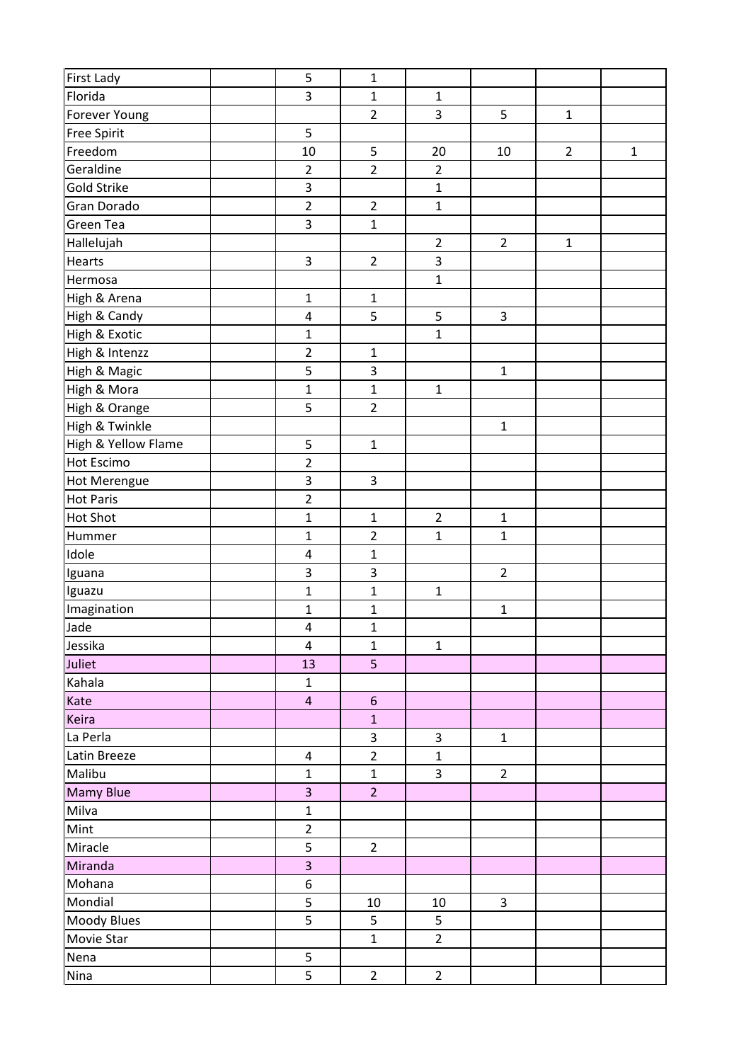| First Lady          | 5                       | $\mathbf 1$             |                |                |                |             |
|---------------------|-------------------------|-------------------------|----------------|----------------|----------------|-------------|
| Florida             | 3                       | $\mathbf 1$             | $\mathbf 1$    |                |                |             |
| Forever Young       |                         | $\overline{2}$          | $\overline{3}$ | 5              | $\mathbf{1}$   |             |
| <b>Free Spirit</b>  | 5                       |                         |                |                |                |             |
| Freedom             | 10                      | 5                       | 20             | 10             | $\overline{2}$ | $\mathbf 1$ |
| Geraldine           | $\overline{2}$          | $\overline{2}$          | $\overline{2}$ |                |                |             |
| Gold Strike         | 3                       |                         | $\mathbf 1$    |                |                |             |
| Gran Dorado         | $\overline{2}$          | $\overline{2}$          | $\mathbf{1}$   |                |                |             |
| Green Tea           | 3                       | $\mathbf{1}$            |                |                |                |             |
| Hallelujah          |                         |                         | $\overline{2}$ | $\overline{2}$ | $\mathbf 1$    |             |
| Hearts              | 3                       | $\overline{2}$          | $\overline{3}$ |                |                |             |
| Hermosa             |                         |                         | $\mathbf 1$    |                |                |             |
| High & Arena        | $\mathbf 1$             | $\mathbf 1$             |                |                |                |             |
| High & Candy        | 4                       | 5                       | 5              | 3              |                |             |
| High & Exotic       | $\mathbf{1}$            |                         | $\mathbf{1}$   |                |                |             |
| High & Intenzz      | $\overline{2}$          | $\mathbf 1$             |                |                |                |             |
| High & Magic        | 5                       | 3                       |                | $\mathbf 1$    |                |             |
| High & Mora         | $\mathbf 1$             | $\mathbf 1$             | $\mathbf 1$    |                |                |             |
| High & Orange       | 5                       | $\overline{2}$          |                |                |                |             |
| High & Twinkle      |                         |                         |                | $\mathbf 1$    |                |             |
| High & Yellow Flame | 5                       | $\mathbf{1}$            |                |                |                |             |
| Hot Escimo          | $\overline{2}$          |                         |                |                |                |             |
| <b>Hot Merengue</b> | 3                       | $\overline{3}$          |                |                |                |             |
| <b>Hot Paris</b>    | $\overline{2}$          |                         |                |                |                |             |
| <b>Hot Shot</b>     | $\mathbf 1$             | $\mathbf 1$             | $\overline{2}$ | $\mathbf 1$    |                |             |
| Hummer              | $\mathbf 1$             | $\overline{2}$          | $\mathbf 1$    | $\mathbf 1$    |                |             |
| Idole               | 4                       | $\mathbf 1$             |                |                |                |             |
| Iguana              | 3                       | $\overline{\mathbf{3}}$ |                | $\overline{2}$ |                |             |
| Iguazu              | $\mathbf 1$             | $\mathbf 1$             | $\mathbf{1}$   |                |                |             |
| Imagination         | $\mathbf 1$             | $\mathbf 1$             |                | $\mathbf 1$    |                |             |
| Jade                | $\overline{\mathbf{4}}$ | $\mathbf{1}$            |                |                |                |             |
| Jessika             | $\pmb{4}$               | $\mathbf 1$             | $\mathbf 1$    |                |                |             |
| Juliet              | 13                      | 5                       |                |                |                |             |
| Kahala              | $\mathbf 1$             |                         |                |                |                |             |
| Kate                | $\overline{4}$          | $6\phantom{1}$          |                |                |                |             |
| Keira               |                         | $\mathbf 1$             |                |                |                |             |
| La Perla            |                         | 3                       | $\mathbf{3}$   | $\mathbf 1$    |                |             |
| Latin Breeze        | $\pmb{4}$               | $\overline{2}$          | $\mathbf 1$    |                |                |             |
| Malibu              | $\mathbf 1$             | $\mathbf 1$             | $\overline{3}$ | $2^{\circ}$    |                |             |
| <b>Mamy Blue</b>    | $\overline{3}$          | $\overline{2}$          |                |                |                |             |
| Milva               | $\mathbf 1$             |                         |                |                |                |             |
| Mint                | $\overline{2}$          |                         |                |                |                |             |
| Miracle             | 5                       | $\overline{2}$          |                |                |                |             |
| Miranda             | 3                       |                         |                |                |                |             |
| Mohana              | $\boldsymbol{6}$        |                         |                |                |                |             |
| Mondial             | 5                       | 10                      | 10             | $\mathbf{3}$   |                |             |
| Moody Blues         | 5                       | 5                       | 5              |                |                |             |
| Movie Star          |                         | $\mathbf{1}$            | $\overline{2}$ |                |                |             |
| Nena                | 5                       |                         |                |                |                |             |
| Nina                | 5                       | $\overline{2}$          | $\overline{2}$ |                |                |             |